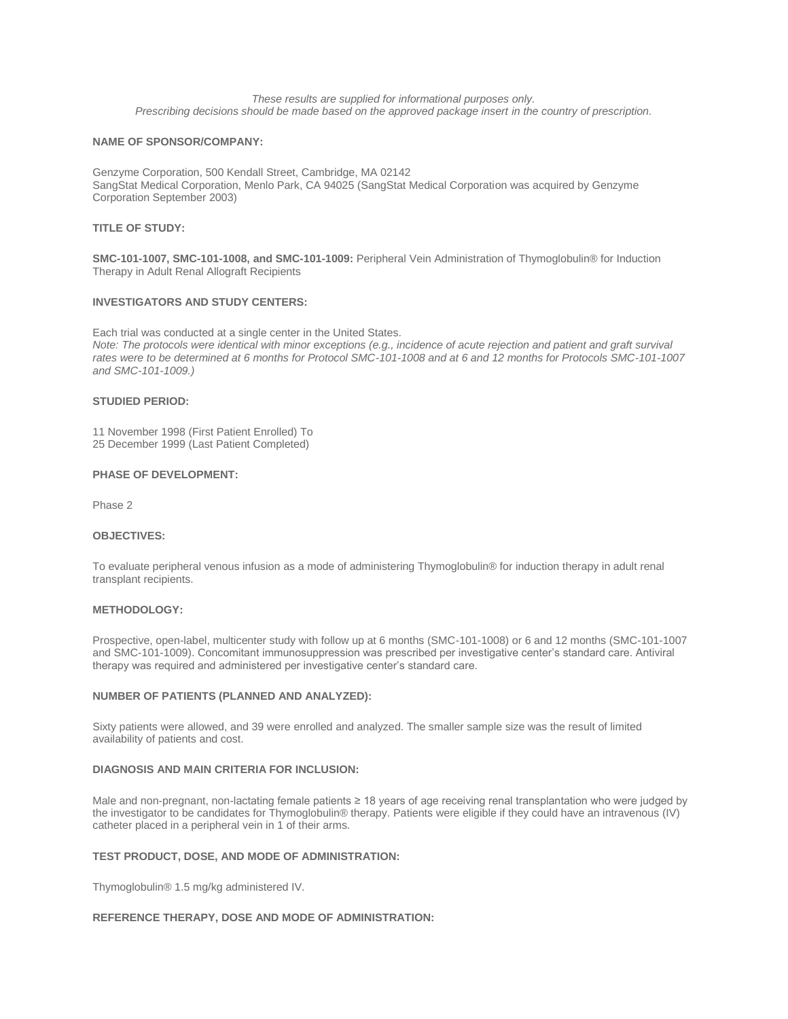*These results are supplied for informational purposes only. Prescribing decisions should be made based on the approved package insert in the country of prescription.*

## **NAME OF SPONSOR/COMPANY:**

Genzyme Corporation, 500 Kendall Street, Cambridge, MA 02142 SangStat Medical Corporation, Menlo Park, CA 94025 (SangStat Medical Corporation was acquired by Genzyme Corporation September 2003)

### **TITLE OF STUDY:**

**SMC-101-1007, SMC-101-1008, and SMC-101-1009:** Peripheral Vein Administration of Thymoglobulin® for Induction Therapy in Adult Renal Allograft Recipients

### **INVESTIGATORS AND STUDY CENTERS:**

Each trial was conducted at a single center in the United States. *Note: The protocols were identical with minor exceptions (e.g., incidence of acute rejection and patient and graft survival rates were to be determined at 6 months for Protocol SMC-101-1008 and at 6 and 12 months for Protocols SMC-101-1007 and SMC-101-1009.)*

### **STUDIED PERIOD:**

11 November 1998 (First Patient Enrolled) To 25 December 1999 (Last Patient Completed)

## **PHASE OF DEVELOPMENT:**

Phase 2

### **OBJECTIVES:**

To evaluate peripheral venous infusion as a mode of administering Thymoglobulin® for induction therapy in adult renal transplant recipients.

# **METHODOLOGY:**

Prospective, open-label, multicenter study with follow up at 6 months (SMC-101-1008) or 6 and 12 months (SMC-101-1007 and SMC-101-1009). Concomitant immunosuppression was prescribed per investigative center's standard care. Antiviral therapy was required and administered per investigative center's standard care.

## **NUMBER OF PATIENTS (PLANNED AND ANALYZED):**

Sixty patients were allowed, and 39 were enrolled and analyzed. The smaller sample size was the result of limited availability of patients and cost.

### **DIAGNOSIS AND MAIN CRITERIA FOR INCLUSION:**

Male and non-pregnant, non-lactating female patients ≥ 18 years of age receiving renal transplantation who were judged by the investigator to be candidates for Thymoglobulin® therapy. Patients were eligible if they could have an intravenous (IV) catheter placed in a peripheral vein in 1 of their arms.

#### **TEST PRODUCT, DOSE, AND MODE OF ADMINISTRATION:**

Thymoglobulin® 1.5 mg/kg administered IV.

# **REFERENCE THERAPY, DOSE AND MODE OF ADMINISTRATION:**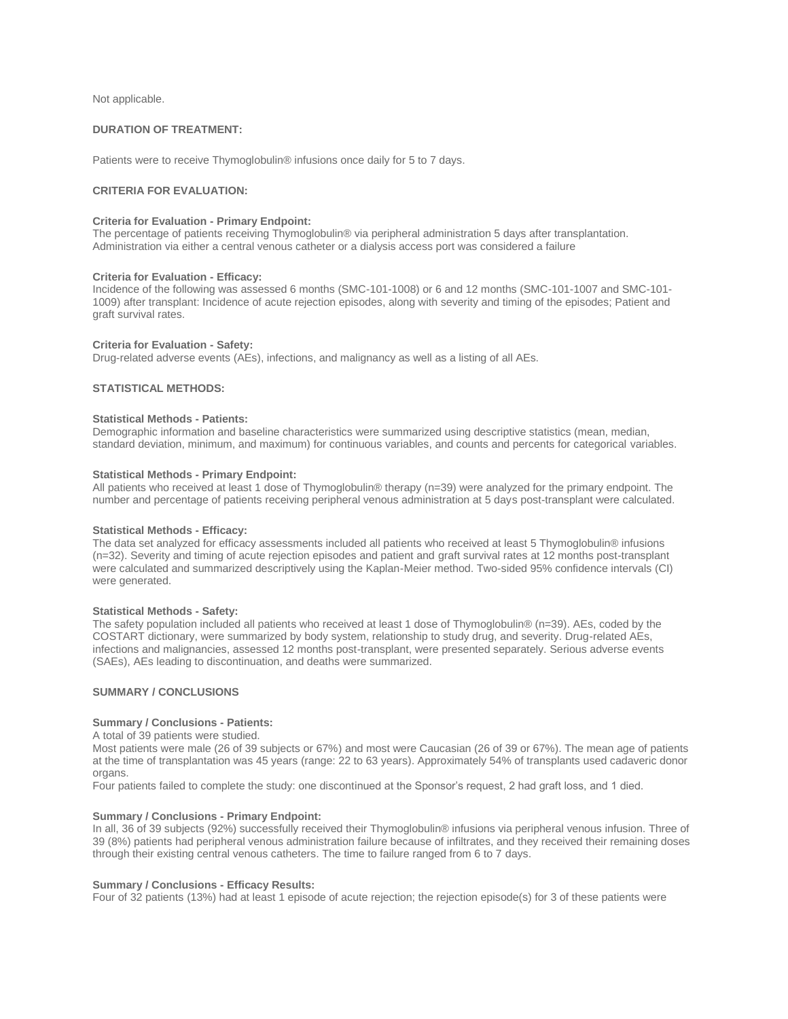Not applicable.

# **DURATION OF TREATMENT:**

Patients were to receive Thymoglobulin® infusions once daily for 5 to 7 days.

## **CRITERIA FOR EVALUATION:**

### **Criteria for Evaluation - Primary Endpoint:**

The percentage of patients receiving Thymoglobulin® via peripheral administration 5 days after transplantation. Administration via either a central venous catheter or a dialysis access port was considered a failure

#### **Criteria for Evaluation - Efficacy:**

Incidence of the following was assessed 6 months (SMC-101-1008) or 6 and 12 months (SMC-101-1007 and SMC-101- 1009) after transplant: Incidence of acute rejection episodes, along with severity and timing of the episodes; Patient and graft survival rates.

### **Criteria for Evaluation - Safety:**

Drug-related adverse events (AEs), infections, and malignancy as well as a listing of all AEs.

# **STATISTICAL METHODS:**

## **Statistical Methods - Patients:**

Demographic information and baseline characteristics were summarized using descriptive statistics (mean, median, standard deviation, minimum, and maximum) for continuous variables, and counts and percents for categorical variables.

#### **Statistical Methods - Primary Endpoint:**

All patients who received at least 1 dose of Thymoglobulin® therapy (n=39) were analyzed for the primary endpoint. The number and percentage of patients receiving peripheral venous administration at 5 days post-transplant were calculated.

### **Statistical Methods - Efficacy:**

The data set analyzed for efficacy assessments included all patients who received at least 5 Thymoglobulin® infusions (n=32). Severity and timing of acute rejection episodes and patient and graft survival rates at 12 months post-transplant were calculated and summarized descriptively using the Kaplan-Meier method. Two-sided 95% confidence intervals (CI) were generated.

### **Statistical Methods - Safety:**

The safety population included all patients who received at least 1 dose of Thymoglobulin® (n=39). AEs, coded by the COSTART dictionary, were summarized by body system, relationship to study drug, and severity. Drug-related AEs, infections and malignancies, assessed 12 months post-transplant, were presented separately. Serious adverse events (SAEs), AEs leading to discontinuation, and deaths were summarized.

# **SUMMARY / CONCLUSIONS**

#### **Summary / Conclusions - Patients:**

#### A total of 39 patients were studied.

Most patients were male (26 of 39 subjects or 67%) and most were Caucasian (26 of 39 or 67%). The mean age of patients at the time of transplantation was 45 years (range: 22 to 63 years). Approximately 54% of transplants used cadaveric donor organs.

Four patients failed to complete the study: one discontinued at the Sponsor's request, 2 had graft loss, and 1 died.

### **Summary / Conclusions - Primary Endpoint:**

In all, 36 of 39 subjects (92%) successfully received their Thymoglobulin® infusions via peripheral venous infusion. Three of 39 (8%) patients had peripheral venous administration failure because of infiltrates, and they received their remaining doses through their existing central venous catheters. The time to failure ranged from 6 to 7 days.

### **Summary / Conclusions - Efficacy Results:**

Four of 32 patients (13%) had at least 1 episode of acute rejection; the rejection episode(s) for 3 of these patients were